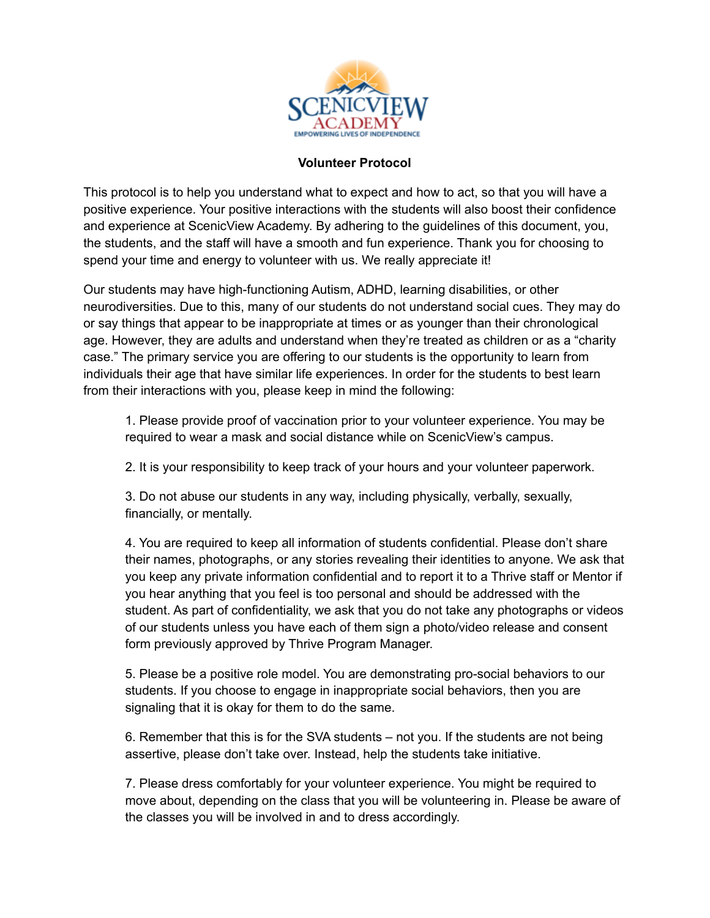

## **Volunteer Protocol**

This protocol is to help you understand what to expect and how to act, so that you will have a positive experience. Your positive interactions with the students will also boost their confidence and experience at ScenicView Academy. By adhering to the guidelines of this document, you, the students, and the staff will have a smooth and fun experience. Thank you for choosing to spend your time and energy to volunteer with us. We really appreciate it!

Our students may have high-functioning Autism, ADHD, learning disabilities, or other neurodiversities. Due to this, many of our students do not understand social cues. They may do or say things that appear to be inappropriate at times or as younger than their chronological age. However, they are adults and understand when they're treated as children or as a "charity case." The primary service you are offering to our students is the opportunity to learn from individuals their age that have similar life experiences. In order for the students to best learn from their interactions with you, please keep in mind the following:

1. Please provide proof of vaccination prior to your volunteer experience. You may be required to wear a mask and social distance while on ScenicView's campus.

2. It is your responsibility to keep track of your hours and your volunteer paperwork.

3. Do not abuse our students in any way, including physically, verbally, sexually, financially, or mentally.

4. You are required to keep all information of students confidential. Please don't share their names, photographs, or any stories revealing their identities to anyone. We ask that you keep any private information confidential and to report it to a Thrive staff or Mentor if you hear anything that you feel is too personal and should be addressed with the student. As part of confidentiality, we ask that you do not take any photographs or videos of our students unless you have each of them sign a photo/video release and consent form previously approved by Thrive Program Manager.

5. Please be a positive role model. You are demonstrating pro-social behaviors to our students. If you choose to engage in inappropriate social behaviors, then you are signaling that it is okay for them to do the same.

6. Remember that this is for the SVA students – not you. If the students are not being assertive, please don't take over. Instead, help the students take initiative.

7. Please dress comfortably for your volunteer experience. You might be required to move about, depending on the class that you will be volunteering in. Please be aware of the classes you will be involved in and to dress accordingly.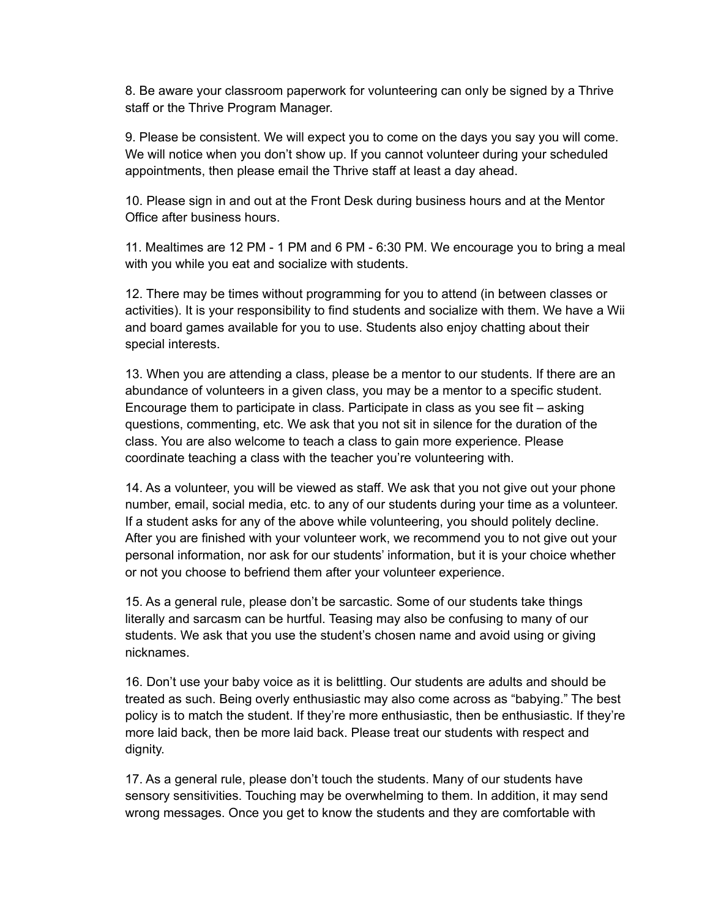8. Be aware your classroom paperwork for volunteering can only be signed by a Thrive staff or the Thrive Program Manager.

9. Please be consistent. We will expect you to come on the days you say you will come. We will notice when you don't show up. If you cannot volunteer during your scheduled appointments, then please email the Thrive staff at least a day ahead.

10. Please sign in and out at the Front Desk during business hours and at the Mentor Office after business hours.

11. Mealtimes are 12 PM - 1 PM and 6 PM - 6:30 PM. We encourage you to bring a meal with you while you eat and socialize with students.

12. There may be times without programming for you to attend (in between classes or activities). It is your responsibility to find students and socialize with them. We have a Wii and board games available for you to use. Students also enjoy chatting about their special interests.

13. When you are attending a class, please be a mentor to our students. If there are an abundance of volunteers in a given class, you may be a mentor to a specific student. Encourage them to participate in class. Participate in class as you see fit – asking questions, commenting, etc. We ask that you not sit in silence for the duration of the class. You are also welcome to teach a class to gain more experience. Please coordinate teaching a class with the teacher you're volunteering with.

14. As a volunteer, you will be viewed as staff. We ask that you not give out your phone number, email, social media, etc. to any of our students during your time as a volunteer. If a student asks for any of the above while volunteering, you should politely decline. After you are finished with your volunteer work, we recommend you to not give out your personal information, nor ask for our students' information, but it is your choice whether or not you choose to befriend them after your volunteer experience.

15. As a general rule, please don't be sarcastic. Some of our students take things literally and sarcasm can be hurtful. Teasing may also be confusing to many of our students. We ask that you use the student's chosen name and avoid using or giving nicknames.

16. Don't use your baby voice as it is belittling. Our students are adults and should be treated as such. Being overly enthusiastic may also come across as "babying." The best policy is to match the student. If they're more enthusiastic, then be enthusiastic. If they're more laid back, then be more laid back. Please treat our students with respect and dignity.

17. As a general rule, please don't touch the students. Many of our students have sensory sensitivities. Touching may be overwhelming to them. In addition, it may send wrong messages. Once you get to know the students and they are comfortable with